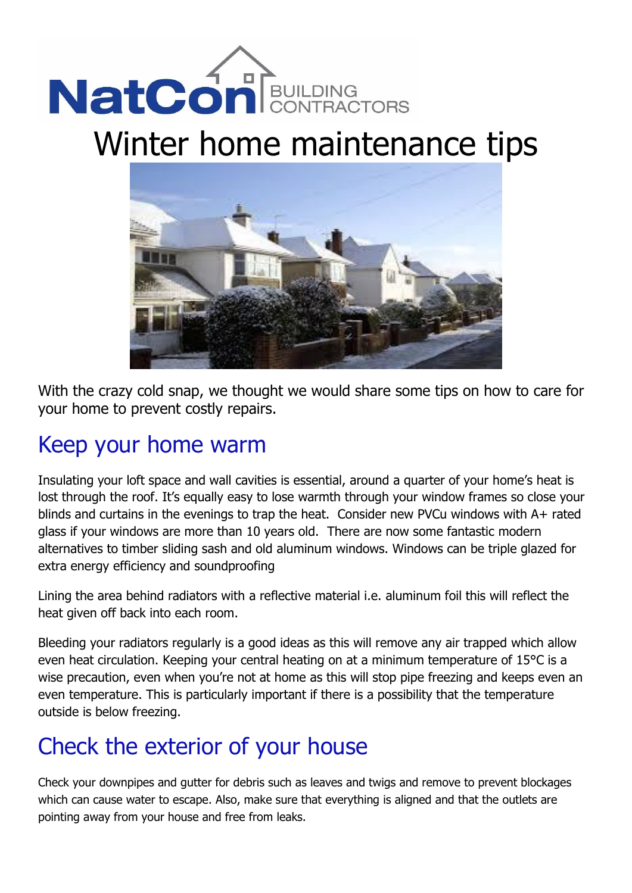# NatConBULLDING

## Winter home maintenance tips



With the crazy cold snap, we thought we would share some tips on how to care for your home to prevent costly repairs.

## Keep your home warm

Insulating your loft space and wall cavities is essential, around a quarter of your home's heat is lost through the roof. It's equally easy to lose warmth through your window frames so close your blinds and curtains in the evenings to trap the heat. Consider new PVCu windows with A+ rated glass if your windows are more than 10 years old. There are now some fantastic modern alternatives to timber sliding sash and old aluminum windows. Windows can be triple glazed for extra energy efficiency and soundproofing

Lining the area behind radiators with a reflective material i.e. aluminum foil this will reflect the heat given off back into each room.

Bleeding your radiators regularly is a good ideas as this will remove any air trapped which allow even heat circulation. Keeping your central heating on at a minimum temperature of 15°C is a wise precaution, even when you're not at home as this will stop pipe freezing and keeps even an even temperature. This is particularly important if there is a possibility that the temperature outside is below freezing.

## Check the exterior of your house

Check your downpipes and gutter for debris such as leaves and twigs and remove to prevent blockages which can cause water to escape. Also, make sure that everything is aligned and that the outlets are pointing away from your house and free from leaks.